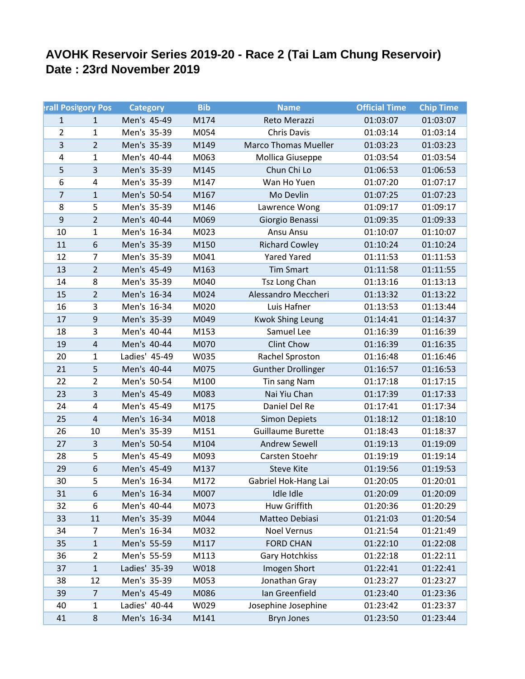## **AVOHK Reservoir Series 2019-20 - Race 2 (Tai Lam Chung Reservoir) Date : 23rd November 2019**

|                | <b>In Positgory Post</b> | <b>Category</b> | <b>Bib</b> | <b>Name</b>                 | <b>Official Time</b> | <b>Chip Time</b> |
|----------------|--------------------------|-----------------|------------|-----------------------------|----------------------|------------------|
| $\mathbf{1}$   | $\mathbf{1}$             | Men's 45-49     | M174       | Reto Merazzi                | 01:03:07             | 01:03:07         |
| $\overline{2}$ | $\mathbf{1}$             | Men's 35-39     | M054       | Chris Davis                 | 01:03:14             | 01:03:14         |
| 3              | $\overline{2}$           | Men's 35-39     | M149       | <b>Marco Thomas Mueller</b> | 01:03:23             | 01:03:23         |
| 4              | $\mathbf{1}$             | Men's 40-44     | M063       | Mollica Giuseppe            | 01:03:54             | 01:03:54         |
| 5              | $\overline{3}$           | Men's 35-39     | M145       | Chun Chi Lo                 | 01:06:53             | 01:06:53         |
| 6              | $\overline{4}$           | Men's 35-39     | M147       | Wan Ho Yuen                 | 01:07:20             | 01:07:17         |
| 7              | $\mathbf{1}$             | Men's 50-54     | M167       | Mo Devlin                   | 01:07:25             | 01:07:23         |
| 8              | 5                        | Men's 35-39     | M146       | Lawrence Wong               | 01:09:17             | 01:09:17         |
| 9              | $\overline{2}$           | Men's 40-44     | M069       | Giorgio Benassi             | 01:09:35             | 01:09:33         |
| 10             | $\mathbf{1}$             | Men's 16-34     | M023       | Ansu Ansu                   | 01:10:07             | 01:10:07         |
| 11             | 6                        | Men's 35-39     | M150       | <b>Richard Cowley</b>       | 01:10:24             | 01:10:24         |
| 12             | $\overline{7}$           | Men's 35-39     | M041       | <b>Yared Yared</b>          | 01:11:53             | 01:11:53         |
| 13             | $\overline{2}$           | Men's 45-49     | M163       | <b>Tim Smart</b>            | 01:11:58             | 01:11:55         |
| 14             | 8                        | Men's 35-39     | M040       | Tsz Long Chan               | 01:13:16             | 01:13:13         |
| 15             | $\overline{2}$           | Men's 16-34     | M024       | Alessandro Meccheri         | 01:13:32             | 01:13:22         |
| 16             | 3                        | Men's 16-34     | M020       | Luis Hafner                 | 01:13:53             | 01:13:44         |
| 17             | 9                        | Men's 35-39     | M049       | <b>Kwok Shing Leung</b>     | 01:14:41             | 01:14:37         |
| 18             | 3                        | Men's 40-44     | M153       | Samuel Lee                  | 01:16:39             | 01:16:39         |
| 19             | $\overline{4}$           | Men's 40-44     | M070       | <b>Clint Chow</b>           | 01:16:39             | 01:16:35         |
| 20             | $\mathbf{1}$             | Ladies' 45-49   | W035       | Rachel Sproston             | 01:16:48             | 01:16:46         |
| 21             | 5                        | Men's 40-44     | M075       | <b>Gunther Drollinger</b>   | 01:16:57             | 01:16:53         |
| 22             | $\overline{2}$           | Men's 50-54     | M100       | Tin sang Nam                | 01:17:18             | 01:17:15         |
| 23             | $\overline{\mathbf{3}}$  | Men's 45-49     | M083       | Nai Yiu Chan                | 01:17:39             | 01:17:33         |
| 24             | 4                        | Men's 45-49     | M175       | Daniel Del Re               | 01:17:41             | 01:17:34         |
| 25             | $\overline{4}$           | Men's 16-34     | M018       | <b>Simon Depiets</b>        | 01:18:12             | 01:18:10         |
| 26             | 10                       | Men's 35-39     | M151       | <b>Guillaume Burette</b>    | 01:18:43             | 01:18:37         |
| 27             | $\overline{3}$           | Men's 50-54     | M104       | <b>Andrew Sewell</b>        | 01:19:13             | 01:19:09         |
| 28             | 5                        | Men's 45-49     | M093       | Carsten Stoehr              | 01:19:19             | 01:19:14         |
| 29             | 6                        | Men's 45-49     | M137       | <b>Steve Kite</b>           | 01:19:56             | 01:19:53         |
| 30             | 5                        | Men's 16-34     | M172       | Gabriel Hok-Hang Lai        | 01:20:05             | 01:20:01         |
| 31             | 6                        | Men's 16-34     | M007       | Idle Idle                   | 01:20:09             | 01:20:09         |
| 32             | 6                        | Men's 40-44     | M073       | Huw Griffith                | 01:20:36             | 01:20:29         |
| 33             | 11                       | Men's 35-39     | M044       | Matteo Debiasi              | 01:21:03             | 01:20:54         |
| 34             | $\overline{7}$           | Men's 16-34     | M032       | <b>Noel Vernus</b>          | 01:21:54             | 01:21:49         |
| 35             | $\mathbf 1$              | Men's 55-59     | M117       | <b>FORD CHAN</b>            | 01:22:10             | 01:22:08         |
| 36             | $\overline{2}$           | Men's 55-59     | M113       | <b>Gary Hotchkiss</b>       | 01:22:18             | 01:22:11         |
| 37             | $\mathbf 1$              | Ladies' 35-39   | W018       | Imogen Short                | 01:22:41             | 01:22:41         |
| 38             | 12                       | Men's 35-39     | M053       | Jonathan Gray               | 01:23:27             | 01:23:27         |
| 39             | $\overline{7}$           | Men's 45-49     | M086       | Ian Greenfield              | 01:23:40             | 01:23:36         |
| 40             | $\mathbf{1}$             | Ladies' 40-44   | W029       | Josephine Josephine         | 01:23:42             | 01:23:37         |
| 41             | 8                        | Men's 16-34     | M141       | <b>Bryn Jones</b>           | 01:23:50             | 01:23:44         |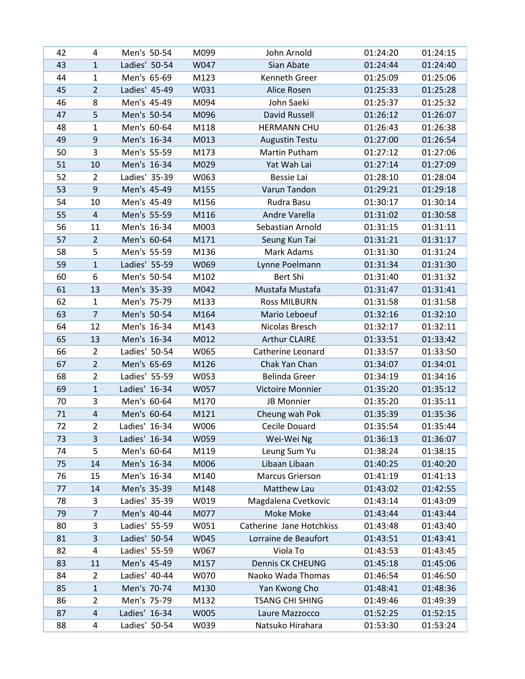| 42 | 4                       | Men's 50-54   | M099 | John Arnold              | 01:24:20 | 01:24:15 |
|----|-------------------------|---------------|------|--------------------------|----------|----------|
| 43 | $\mathbf{1}$            | Ladies' 50-54 | W047 | Sian Abate               | 01:24:44 | 01:24:40 |
| 44 | $\mathbf{1}$            | Men's 65-69   | M123 | Kenneth Greer            | 01:25:09 | 01:25:06 |
| 45 | $\overline{2}$          | Ladies' 45-49 | W031 | Alice Rosen              | 01:25:33 | 01:25:28 |
| 46 | 8                       | Men's 45-49   | M094 | John Saeki               | 01:25:37 | 01:25:32 |
| 47 | 5                       | Men's 50-54   | M096 | David Russell            | 01:26:12 | 01:26:07 |
| 48 | $\mathbf{1}$            | Men's 60-64   | M118 | <b>HERMANN CHU</b>       | 01:26:43 | 01:26:38 |
| 49 | 9                       | Men's 16-34   | M013 | <b>Augustin Testu</b>    | 01:27:00 | 01:26:54 |
| 50 | 3                       | Men's 55-59   | M173 | Martin Putham            | 01:27:12 | 01:27:06 |
| 51 | 10                      | Men's 16-34   | M029 | Yat Wah Lai              | 01:27:14 | 01:27:09 |
| 52 | $\overline{2}$          | Ladies' 35-39 | W063 | Bessie Lai               | 01:28:10 | 01:28:04 |
| 53 | 9                       | Men's 45-49   | M155 | Varun Tandon             | 01:29:21 | 01:29:18 |
| 54 | 10                      | Men's 45-49   | M156 | Rudra Basu               | 01:30:17 | 01:30:14 |
| 55 | $\overline{\mathbf{4}}$ | Men's 55-59   | M116 | Andre Varella            | 01:31:02 | 01:30:58 |
| 56 | 11                      | Men's 16-34   | M003 | Sebastian Arnold         | 01:31:15 | 01:31:11 |
| 57 | $\overline{2}$          | Men's 60-64   | M171 | Seung Kun Tai            | 01:31:21 | 01:31:17 |
| 58 | 5                       | Men's 55-59   | M136 | Mark Adams               | 01:31:30 | 01:31:24 |
| 59 | $\mathbf{1}$            | Ladies' 55-59 | W069 | Lynne Poelmann           | 01:31:34 | 01:31:30 |
| 60 | 6                       | Men's 50-54   | M102 | Bert Shi                 | 01:31:40 | 01:31:32 |
| 61 | 13                      | Men's 35-39   | M042 | Mustafa Mustafa          | 01:31:47 | 01:31:41 |
| 62 | $\mathbf{1}$            | Men's 75-79   | M133 | <b>Ross MILBURN</b>      | 01:31:58 | 01:31:58 |
| 63 | $\overline{7}$          | Men's 50-54   | M164 | Mario Leboeuf            | 01:32:16 | 01:32:10 |
| 64 | 12                      | Men's 16-34   | M143 | Nicolas Bresch           | 01:32:17 | 01:32:11 |
| 65 | 13                      | Men's 16-34   | M012 | <b>Arthur CLAIRE</b>     | 01:33:51 | 01:33:42 |
| 66 | $\overline{2}$          | Ladies' 50-54 | W065 | Catherine Leonard        | 01:33:57 | 01:33:50 |
| 67 | $\overline{2}$          | Men's 65-69   | M126 | Chak Yan Chan            | 01:34:07 | 01:34:01 |
| 68 | $\overline{2}$          | Ladies' 55-59 | W053 | <b>Belinda Greer</b>     | 01:34:19 | 01:34:16 |
| 69 | $\mathbf{1}$            | Ladies' 16-34 | W057 | Victoire Monnier         | 01:35:20 | 01:35:12 |
| 70 | 3                       | Men's 60-64   | M170 | JB Monnier               | 01:35:20 | 01:35:11 |
| 71 | $\overline{4}$          | Men's 60-64   | M121 | Cheung wah Pok           | 01:35:39 | 01:35:36 |
| 72 | $\overline{2}$          | Ladies' 16-34 | W006 | Cecile Douard            | 01:35:54 | 01:35:44 |
| 73 | 3                       | Ladies' 16-34 | W059 | Wei-Wei Ng               | 01:36:13 | 01:36:07 |
| 74 | 5                       | Men's 60-64   | M119 | Leung Sum Yu             | 01:38:24 | 01:38:15 |
| 75 | 14                      | Men's 16-34   | M006 | Libaan Libaan            | 01:40:25 | 01:40:20 |
| 76 | 15                      | Men's 16-34   | M140 | Marcus Grierson          | 01:41:19 | 01:41:13 |
| 77 | 14                      | Men's 35-39   | M148 | Matthew Lau              | 01:43:02 | 01:42:55 |
| 78 | 3                       | Ladies' 35-39 | W019 | Magdalena Cvetkovic      | 01:43:14 | 01:43:09 |
| 79 | $\overline{7}$          | Men's 40-44   | M077 | Moke Moke                | 01:43:44 | 01:43:44 |
| 80 | 3                       | Ladies' 55-59 | W051 | Catherine Jane Hotchkiss | 01:43:48 | 01:43:40 |
| 81 | 3                       | Ladies' 50-54 | W045 | Lorraine de Beaufort     | 01:43:51 | 01:43:41 |
| 82 | 4                       | Ladies' 55-59 | W067 | Viola To                 | 01:43:53 | 01:43:45 |
| 83 | 11                      | Men's 45-49   | M157 | <b>Dennis CK CHEUNG</b>  | 01:45:18 | 01:45:06 |
| 84 | $\overline{2}$          | Ladies' 40-44 | W070 | Naoko Wada Thomas        | 01:46:54 | 01:46:50 |
| 85 | $\mathbf{1}$            | Men's 70-74   | M130 | Yan Kwong Cho            | 01:48:41 | 01:48:36 |
| 86 | $\overline{2}$          | Men's 75-79   | M132 | <b>TSANG CHI SHING</b>   | 01:49:46 | 01:49:39 |
| 87 | 4                       | Ladies' 16-34 | W005 | Laure Mazzocco           | 01:52:25 | 01:52:15 |
| 88 | 4                       | Ladies' 50-54 | W039 | Natsuko Hirahara         | 01:53:30 | 01:53:24 |